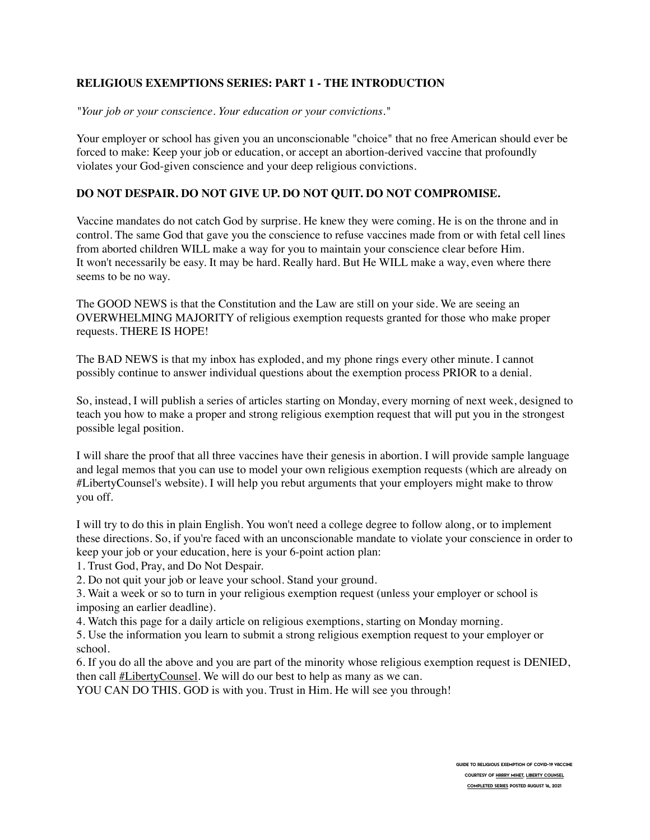# **RELIGIOUS EXEMPTIONS SERIES: PART 1 - THE INTRODUCTION**

*"Your job or your conscience. Your education or your convictions."*

Your employer or school has given you an unconscionable "choice" that no free American should ever be forced to make: Keep your job or education, or accept an abortion-derived vaccine that profoundly violates your God-given conscience and your deep religious convictions.

# **DO NOT DESPAIR. DO NOT GIVE UP. DO NOT QUIT. DO NOT COMPROMISE.**

Vaccine mandates do not catch God by surprise. He knew they were coming. He is on the throne and in control. The same God that gave you the conscience to refuse vaccines made from or with fetal cell lines from aborted children WILL make a way for you to maintain your conscience clear before Him. It won't necessarily be easy. It may be hard. Really hard. But He WILL make a way, even where there seems to be no way.

The GOOD NEWS is that the Constitution and the Law are still on your side. We are seeing an OVERWHELMING MAJORITY of religious exemption requests granted for those who make proper requests. THERE IS HOPE!

The BAD NEWS is that my inbox has exploded, and my phone rings every other minute. I cannot possibly continue to answer individual questions about the exemption process PRIOR to a denial.

So, instead, I will publish a series of articles starting on Monday, every morning of next week, designed to teach you how to make a proper and strong religious exemption request that will put you in the strongest possible legal position.

I will share the proof that all three vaccines have their genesis in abortion. I will provide sample language and legal memos that you can use to model your own religious exemption requests (which are already on #LibertyCounsel's website). I will help you rebut arguments that your employers might make to throw you off.

I will try to do this in plain English. You won't need a college degree to follow along, or to implement these directions. So, if you're faced with an unconscionable mandate to violate your conscience in order to keep your job or your education, here is your 6-point action plan:

1. Trust God, Pray, and Do Not Despair.

2. Do not quit your job or leave your school. Stand your ground.

3. Wait a week or so to turn in your religious exemption request (unless your employer or school is imposing an earlier deadline).

4. Watch this page for a daily article on religious exemptions, starting on Monday morning.

5. Use the information you learn to submit a strong religious exemption request to your employer or school.

6. If you do all the above and you are part of the minority whose religious exemption request is DENIED, then call **#LibertyCounsel**. We will do our best to help as many as we can.

YOU CAN DO THIS. GOD is with you. Trust in Him. He will see you through!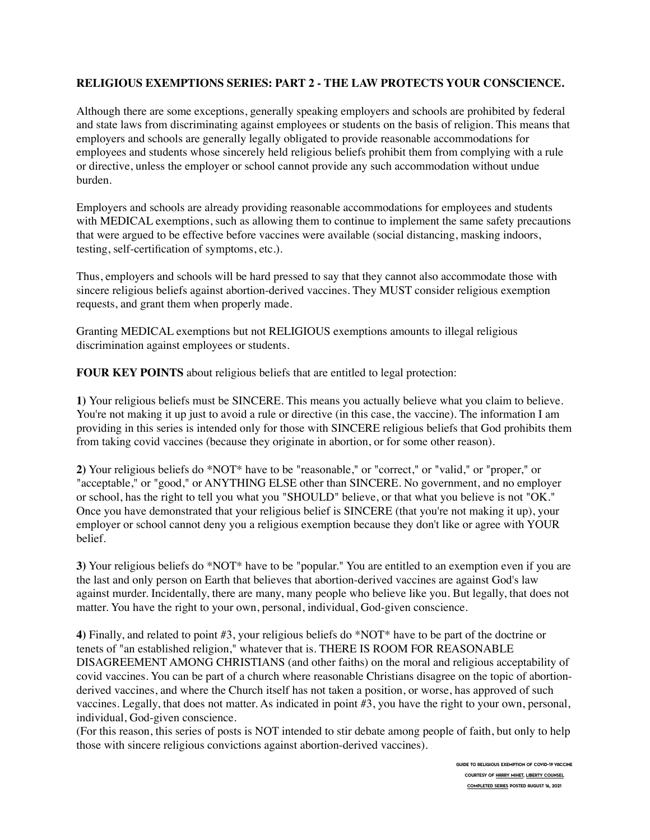### **RELIGIOUS EXEMPTIONS SERIES: PART 2 - THE LAW PROTECTS YOUR CONSCIENCE.**

Although there are some exceptions, generally speaking employers and schools are prohibited by federal and state laws from discriminating against employees or students on the basis of religion. This means that employers and schools are generally legally obligated to provide reasonable accommodations for employees and students whose sincerely held religious beliefs prohibit them from complying with a rule or directive, unless the employer or school cannot provide any such accommodation without undue burden.

Employers and schools are already providing reasonable accommodations for employees and students with MEDICAL exemptions, such as allowing them to continue to implement the same safety precautions that were argued to be effective before vaccines were available (social distancing, masking indoors, testing, self-certification of symptoms, etc.).

Thus, employers and schools will be hard pressed to say that they cannot also accommodate those with sincere religious beliefs against abortion-derived vaccines. They MUST consider religious exemption requests, and grant them when properly made.

Granting MEDICAL exemptions but not RELIGIOUS exemptions amounts to illegal religious discrimination against employees or students.

**FOUR KEY POINTS** about religious beliefs that are entitled to legal protection:

**1)** Your religious beliefs must be SINCERE. This means you actually believe what you claim to believe. You're not making it up just to avoid a rule or directive (in this case, the vaccine). The information I am providing in this series is intended only for those with SINCERE religious beliefs that God prohibits them from taking covid vaccines (because they originate in abortion, or for some other reason).

**2)** Your religious beliefs do \*NOT\* have to be "reasonable," or "correct," or "valid," or "proper," or "acceptable," or "good," or ANYTHING ELSE other than SINCERE. No government, and no employer or school, has the right to tell you what you "SHOULD" believe, or that what you believe is not "OK." Once you have demonstrated that your religious belief is SINCERE (that you're not making it up), your employer or school cannot deny you a religious exemption because they don't like or agree with YOUR belief.

**3)** Your religious beliefs do \*NOT\* have to be "popular." You are entitled to an exemption even if you are the last and only person on Earth that believes that abortion-derived vaccines are against God's law against murder. Incidentally, there are many, many people who believe like you. But legally, that does not matter. You have the right to your own, personal, individual, God-given conscience.

**4)** Finally, and related to point #3, your religious beliefs do \*NOT\* have to be part of the doctrine or tenets of "an established religion," whatever that is. THERE IS ROOM FOR REASONABLE DISAGREEMENT AMONG CHRISTIANS (and other faiths) on the moral and religious acceptability of covid vaccines. You can be part of a church where reasonable Christians disagree on the topic of abortionderived vaccines, and where the Church itself has not taken a position, or worse, has approved of such vaccines. Legally, that does not matter. As indicated in point #3, you have the right to your own, personal, individual, God-given conscience.

(For this reason, this series of posts is NOT intended to stir debate among people of faith, but only to help those with sincere religious convictions against abortion-derived vaccines).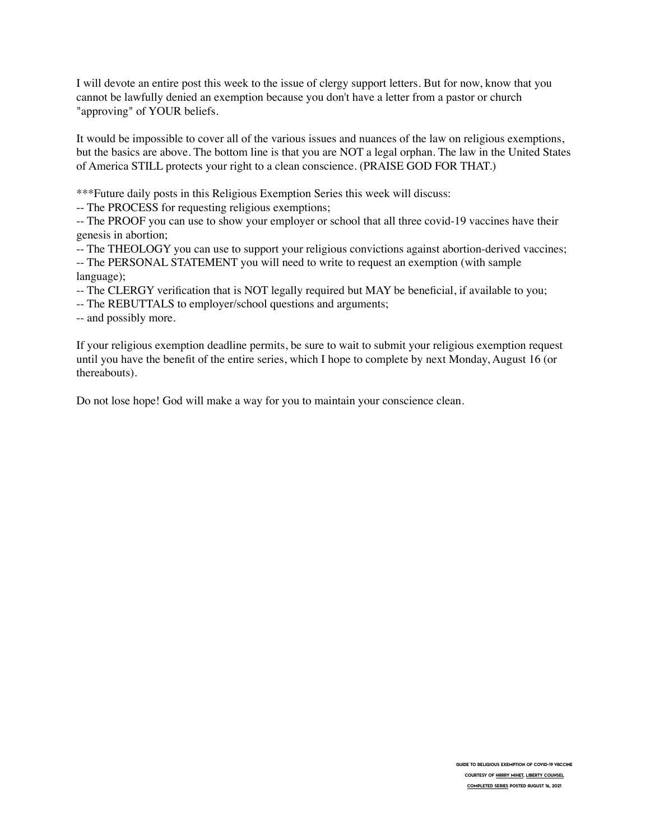I will devote an entire post this week to the issue of clergy support letters. But for now, know that you cannot be lawfully denied an exemption because you don't have a letter from a pastor or church "approving" of YOUR beliefs.

It would be impossible to cover all of the various issues and nuances of the law on religious exemptions, but the basics are above. The bottom line is that you are NOT a legal orphan. The law in the United States of America STILL protects your right to a clean conscience. (PRAISE GOD FOR THAT.)

\*\*\*Future daily posts in this Religious Exemption Series this week will discuss:

-- The PROCESS for requesting religious exemptions;

-- The PROOF you can use to show your employer or school that all three covid-19 vaccines have their genesis in abortion;

-- The THEOLOGY you can use to support your religious convictions against abortion-derived vaccines; -- The PERSONAL STATEMENT you will need to write to request an exemption (with sample language);

- -- The CLERGY verification that is NOT legally required but MAY be beneficial, if available to you;
- -- The REBUTTALS to employer/school questions and arguments;

-- and possibly more.

If your religious exemption deadline permits, be sure to wait to submit your religious exemption request until you have the benefit of the entire series, which I hope to complete by next Monday, August 16 (or thereabouts).

Do not lose hope! God will make a way for you to maintain your conscience clean.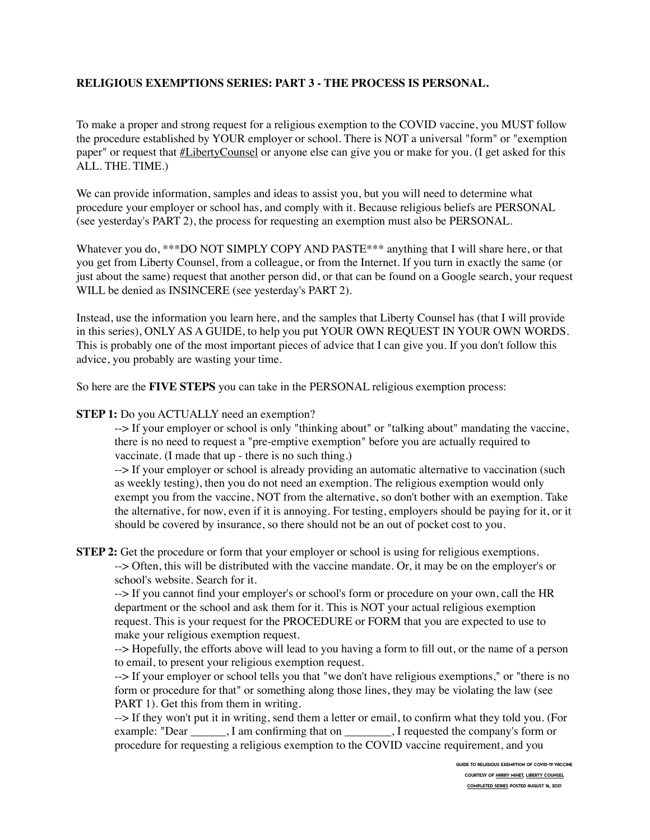# **RELIGIOUS EXEMPTIONS SERIES: PART 3 - THE PROCESS IS PERSONAL.**

To make a proper and strong request for a religious exemption to the COVID vaccine, you MUST follow the procedure established by YOUR employer or school. There is NOT a universal "form" or "exemption paper" or request that [#LibertyCounsel](https://www.facebook.com/hashtag/libertycounsel?__eep__=6&__cft__%5B0%5D=AZUhAj5PoCs_ccGh7-ZejbcIoGLmS09nSflwTubJtpz5HEoA_xPnnulaZruM458dK7hx0ledbpiqxVPYcZ__WxP_CII1VWlHWfyIsVtufrLjKpNRCSc_MB9ub4qRDpt_F50&__tn__=*NK-R) or anyone else can give you or make for you. (I get asked for this ALL. THE. TIME.)

We can provide information, samples and ideas to assist you, but you will need to determine what procedure your employer or school has, and comply with it. Because religious beliefs are PERSONAL (see yesterday's PART 2), the process for requesting an exemption must also be PERSONAL.

Whatever you do, \*\*\*DO NOT SIMPLY COPY AND PASTE\*\*\* anything that I will share here, or that you get from Liberty Counsel, from a colleague, or from the Internet. If you turn in exactly the same (or just about the same) request that another person did, or that can be found on a Google search, your request WILL be denied as INSINCERE (see yesterday's PART 2).

Instead, use the information you learn here, and the samples that Liberty Counsel has (that I will provide in this series), ONLY AS A GUIDE, to help you put YOUR OWN REQUEST IN YOUR OWN WORDS. This is probably one of the most important pieces of advice that I can give you. If you don't follow this advice, you probably are wasting your time.

So here are the **FIVE STEPS** you can take in the PERSONAL religious exemption process:

#### **STEP 1:** Do you ACTUALLY need an exemption?

--> If your employer or school is only "thinking about" or "talking about" mandating the vaccine, there is no need to request a "pre-emptive exemption" before you are actually required to vaccinate. (I made that up - there is no such thing.)

--> If your employer or school is already providing an automatic alternative to vaccination (such as weekly testing), then you do not need an exemption. The religious exemption would only exempt you from the vaccine, NOT from the alternative, so don't bother with an exemption. Take the alternative, for now, even if it is annoying. For testing, employers should be paying for it, or it should be covered by insurance, so there should not be an out of pocket cost to you.

**STEP 2:** Get the procedure or form that your employer or school is using for religious exemptions.

--> Often, this will be distributed with the vaccine mandate. Or, it may be on the employer's or school's website. Search for it.

--> If you cannot find your employer's or school's form or procedure on your own, call the HR department or the school and ask them for it. This is NOT your actual religious exemption request. This is your request for the PROCEDURE or FORM that you are expected to use to make your religious exemption request.

--> Hopefully, the efforts above will lead to you having a form to fill out, or the name of a person to email, to present your religious exemption request.

--> If your employer or school tells you that "we don't have religious exemptions," or "there is no form or procedure for that" or something along those lines, they may be violating the law (see PART 1). Get this from them in writing.

--> If they won't put it in writing, send them a letter or email, to confirm what they told you. (For example: "Dear \_\_\_\_\_\_, I am confirming that on \_\_\_\_\_\_\_\_, I requested the company's form or procedure for requesting a religious exemption to the COVID vaccine requirement, and you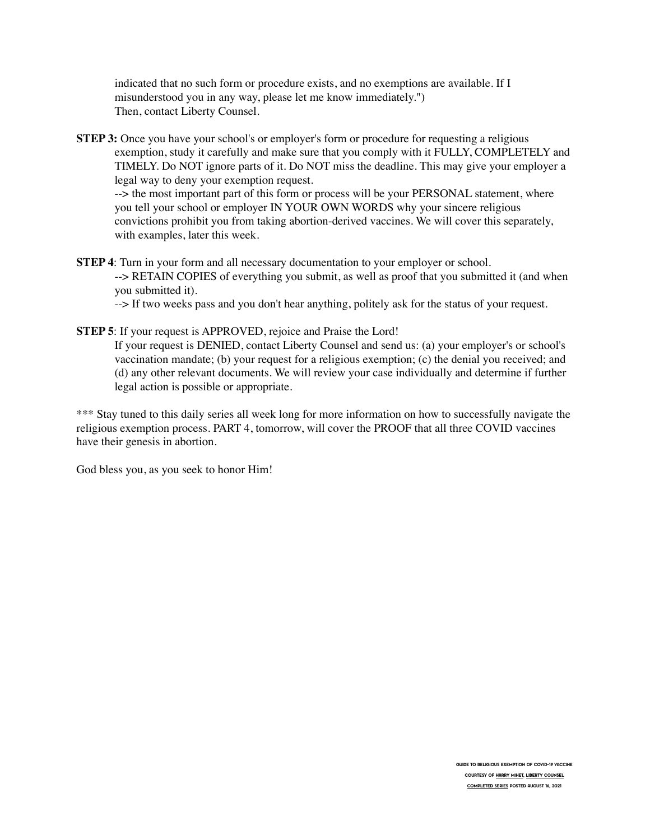indicated that no such form or procedure exists, and no exemptions are available. If I misunderstood you in any way, please let me know immediately.") Then, contact Liberty Counsel.

**STEP 3:** Once you have your school's or employer's form or procedure for requesting a religious exemption, study it carefully and make sure that you comply with it FULLY, COMPLETELY and TIMELY. Do NOT ignore parts of it. Do NOT miss the deadline. This may give your employer a legal way to deny your exemption request.

--> the most important part of this form or process will be your PERSONAL statement, where you tell your school or employer IN YOUR OWN WORDS why your sincere religious convictions prohibit you from taking abortion-derived vaccines. We will cover this separately, with examples, later this week.

**STEP 4**: Turn in your form and all necessary documentation to your employer or school. --> RETAIN COPIES of everything you submit, as well as proof that you submitted it (and when you submitted it).

--> If two weeks pass and you don't hear anything, politely ask for the status of your request.

**STEP 5**: If your request is APPROVED, rejoice and Praise the Lord! If your request is DENIED, contact Liberty Counsel and send us: (a) your employer's or school's

vaccination mandate; (b) your request for a religious exemption; (c) the denial you received; and (d) any other relevant documents. We will review your case individually and determine if further legal action is possible or appropriate.

\*\*\* Stay tuned to this daily series all week long for more information on how to successfully navigate the religious exemption process. PART 4, tomorrow, will cover the PROOF that all three COVID vaccines have their genesis in abortion.

God bless you, as you seek to honor Him!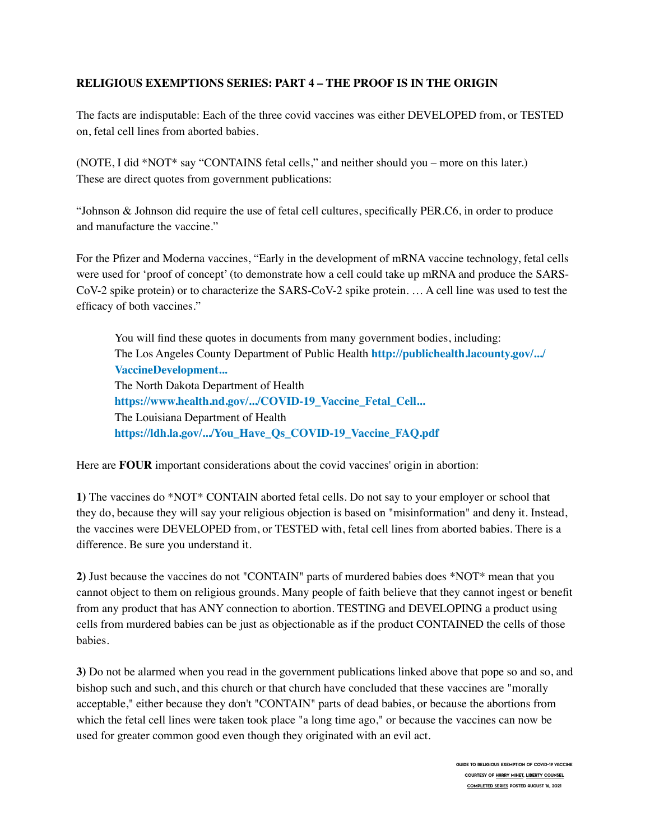# **RELIGIOUS EXEMPTIONS SERIES: PART 4 – THE PROOF IS IN THE ORIGIN**

The facts are indisputable: Each of the three covid vaccines was either DEVELOPED from, or TESTED on, fetal cell lines from aborted babies.

(NOTE, I did \*NOT\* say "CONTAINS fetal cells," and neither should you – more on this later.) These are direct quotes from government publications:

"Johnson & Johnson did require the use of fetal cell cultures, specifically PER.C6, in order to produce and manufacture the vaccine."

For the Pfizer and Moderna vaccines, "Early in the development of mRNA vaccine technology, fetal cells were used for 'proof of concept' (to demonstrate how a cell could take up mRNA and produce the SARS-CoV-2 spike protein) or to characterize the SARS-CoV-2 spike protein. … A cell line was used to test the efficacy of both vaccines."

You will find these quotes in documents from many government bodies, including: The Los Angeles County Department of Public Health **[http://publichealth.lacounty.gov/.../](https://l.facebook.com/l.php?u=http%3A%2F%2Fpublichealth.lacounty.gov%2Fmedia%2FCoronavirus%2Fdocs%2Fvaccine%2FVaccineDevelopment_FetalCellLines.pdf%3Ffbclid%3DIwAR0TKkocAo5KOxxO43d2Cl7YN9bUHKuadVyoTmjlOb_Y1gPWMCyh63j6_wc&h=AT1KGg0hrXI763HGNsPxu1Ka6gJJLKGGw0-mo-0ab7N_A1uoI_oJn-yl_c5nxaC5QWGAlIkJ1phR1eF9sAXMNG135Wui4l-D3ftgKF2k7j07Jth7LiKMBKVZqwH9q53a3y5DV28ntZHPsCytSLK1-S4&__tn__=-UK-R&c%5B0%5D=AT1EYi3QFnTN3m9pGH9rQWaXliB2377u03b3iGAis0-7JKDc-f8PpomRM0WqNJBHoDvKiZMjVZcrI1-_RBkrv8Q3zmUqB_ATJ-du0Jlx3djSQ6lTLB096aVfwoFXnU8LyIg5MJLfZ-ZOUVTTnbQW91b9vZU) [VaccineDevelopment...](https://l.facebook.com/l.php?u=http%3A%2F%2Fpublichealth.lacounty.gov%2Fmedia%2FCoronavirus%2Fdocs%2Fvaccine%2FVaccineDevelopment_FetalCellLines.pdf%3Ffbclid%3DIwAR0TKkocAo5KOxxO43d2Cl7YN9bUHKuadVyoTmjlOb_Y1gPWMCyh63j6_wc&h=AT1KGg0hrXI763HGNsPxu1Ka6gJJLKGGw0-mo-0ab7N_A1uoI_oJn-yl_c5nxaC5QWGAlIkJ1phR1eF9sAXMNG135Wui4l-D3ftgKF2k7j07Jth7LiKMBKVZqwH9q53a3y5DV28ntZHPsCytSLK1-S4&__tn__=-UK-R&c%5B0%5D=AT1EYi3QFnTN3m9pGH9rQWaXliB2377u03b3iGAis0-7JKDc-f8PpomRM0WqNJBHoDvKiZMjVZcrI1-_RBkrv8Q3zmUqB_ATJ-du0Jlx3djSQ6lTLB096aVfwoFXnU8LyIg5MJLfZ-ZOUVTTnbQW91b9vZU)** The North Dakota Department of Health **[https://www.health.nd.gov/.../COVID-19\\_Vaccine\\_Fetal\\_Cell...](https://l.facebook.com/l.php?u=https%3A%2F%2Fwww.health.nd.gov%2Fsites%2Fwww%2Ffiles%2Fdocuments%2FCOVID%2520Vaccine%2520Page%2FCOVID-19_Vaccine_Fetal_Cell_Handout.pdf%3Ffbclid%3DIwAR3httTUpllYxCktc_gaKflxWMBjAJw7kJO9ehIsJt8ZoLJL3a1rpZao65M&h=AT1vDD-l0Q2E68HBZnIwO9iS5evVvWTsUBcdBYPwnyIsvMUEdUJvCuxZps3ER7tNjVdCOBrnaXQCX-GtOd4OA3fbzP9vFNhl5a36ElnSebYaFUd8RhsE6dGHGIJm7M37Zur3c6jvNuCLLt6PCJMf-Zc&__tn__=-UK-R&c%5B0%5D=AT1EYi3QFnTN3m9pGH9rQWaXliB2377u03b3iGAis0-7JKDc-f8PpomRM0WqNJBHoDvKiZMjVZcrI1-_RBkrv8Q3zmUqB_ATJ-du0Jlx3djSQ6lTLB096aVfwoFXnU8LyIg5MJLfZ-ZOUVTTnbQW91b9vZU)** The Louisiana Department of Health **[https://ldh.la.gov/.../You\\_Have\\_Qs\\_COVID-19\\_Vaccine\\_FAQ.pdf](https://l.facebook.com/l.php?u=https%3A%2F%2Fldh.la.gov%2Fassets%2Foph%2FCenter-PHCH%2FCenter-PH%2Fimmunizations%2FYou_Have_Qs_COVID-19_Vaccine_FAQ.pdf%3Ffbclid%3DIwAR1Lbvjh7RnIVchI7xJtnAMSlM7yaMiWelcb5rG00Taxz2x65EKCVbMwM50&h=AT2qiJwl7VLJHdQ3l2qF_kDf6-85HPk7wgUQssvtRiI00qfVFlI95erxakKAGa8y8s72W9JoHw0K8Dav8t1IuxPOKyW5kjtdnMBd-R9pq2_D6FW_CWxG3D2NVQzGUgQO6MxE7Jlz_nlph9j2_RpVkRQ&__tn__=-UK-R&c%5B0%5D=AT1EYi3QFnTN3m9pGH9rQWaXliB2377u03b3iGAis0-7JKDc-f8PpomRM0WqNJBHoDvKiZMjVZcrI1-_RBkrv8Q3zmUqB_ATJ-du0Jlx3djSQ6lTLB096aVfwoFXnU8LyIg5MJLfZ-ZOUVTTnbQW91b9vZU)**

Here are **FOUR** important considerations about the covid vaccines' origin in abortion:

**1)** The vaccines do \*NOT\* CONTAIN aborted fetal cells. Do not say to your employer or school that they do, because they will say your religious objection is based on "misinformation" and deny it. Instead, the vaccines were DEVELOPED from, or TESTED with, fetal cell lines from aborted babies. There is a difference. Be sure you understand it.

**2)** Just because the vaccines do not "CONTAIN" parts of murdered babies does \*NOT\* mean that you cannot object to them on religious grounds. Many people of faith believe that they cannot ingest or benefit from any product that has ANY connection to abortion. TESTING and DEVELOPING a product using cells from murdered babies can be just as objectionable as if the product CONTAINED the cells of those babies.

**3)** Do not be alarmed when you read in the government publications linked above that pope so and so, and bishop such and such, and this church or that church have concluded that these vaccines are "morally acceptable," either because they don't "CONTAIN" parts of dead babies, or because the abortions from which the fetal cell lines were taken took place "a long time ago," or because the vaccines can now be used for greater common good even though they originated with an evil act.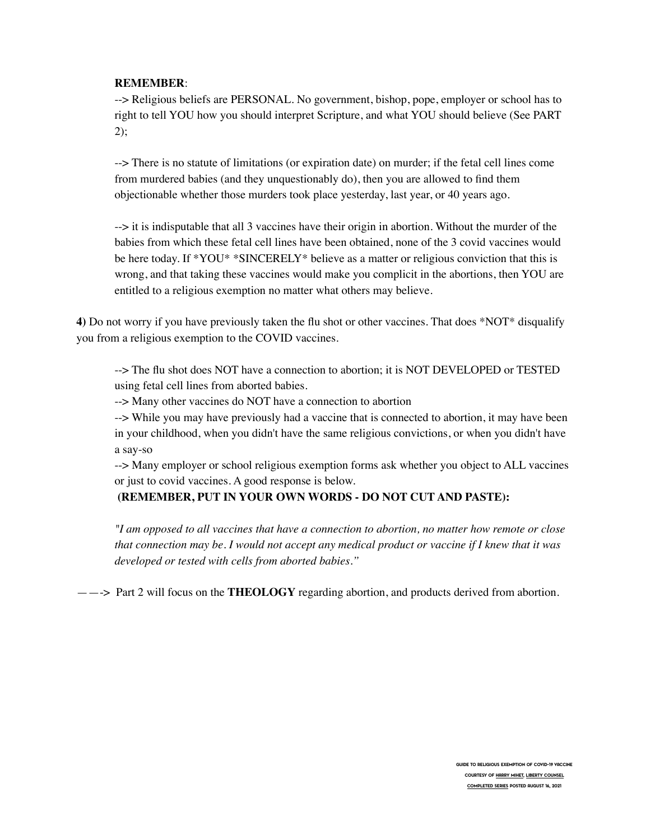#### **REMEMBER**:

--> Religious beliefs are PERSONAL. No government, bishop, pope, employer or school has to right to tell YOU how you should interpret Scripture, and what YOU should believe (See PART  $2)$ ;

--> There is no statute of limitations (or expiration date) on murder; if the fetal cell lines come from murdered babies (and they unquestionably do), then you are allowed to find them objectionable whether those murders took place yesterday, last year, or 40 years ago.

--> it is indisputable that all 3 vaccines have their origin in abortion. Without the murder of the babies from which these fetal cell lines have been obtained, none of the 3 covid vaccines would be here today. If \*YOU\* \*SINCERELY\* believe as a matter or religious conviction that this is wrong, and that taking these vaccines would make you complicit in the abortions, then YOU are entitled to a religious exemption no matter what others may believe.

**4)** Do not worry if you have previously taken the flu shot or other vaccines. That does \*NOT\* disqualify you from a religious exemption to the COVID vaccines.

--> The flu shot does NOT have a connection to abortion; it is NOT DEVELOPED or TESTED using fetal cell lines from aborted babies.

--> Many other vaccines do NOT have a connection to abortion

--> While you may have previously had a vaccine that is connected to abortion, it may have been in your childhood, when you didn't have the same religious convictions, or when you didn't have a say-so

--> Many employer or school religious exemption forms ask whether you object to ALL vaccines or just to covid vaccines. A good response is below.

#### **(REMEMBER, PUT IN YOUR OWN WORDS - DO NOT CUT AND PASTE):**

*"I am opposed to all vaccines that have a connection to abortion, no matter how remote or close that connection may be. I would not accept any medical product or vaccine if I knew that it was developed or tested with cells from aborted babies."*

——-> Part 2 will focus on the **THEOLOGY** regarding abortion, and products derived from abortion.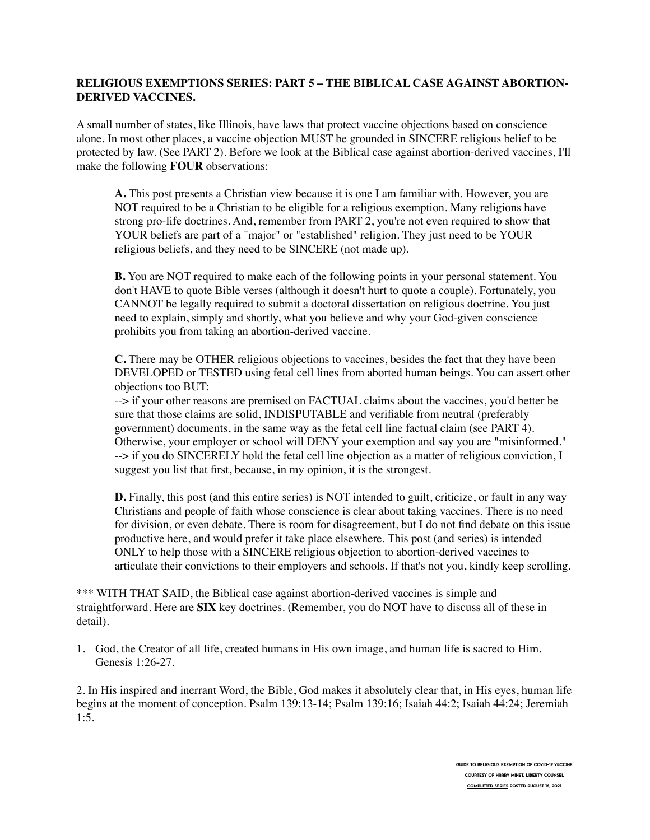# **RELIGIOUS EXEMPTIONS SERIES: PART 5 – THE BIBLICAL CASE AGAINST ABORTION-DERIVED VACCINES.**

A small number of states, like Illinois, have laws that protect vaccine objections based on conscience alone. In most other places, a vaccine objection MUST be grounded in SINCERE religious belief to be protected by law. (See PART 2). Before we look at the Biblical case against abortion-derived vaccines, I'll make the following **FOUR** observations:

**A.** This post presents a Christian view because it is one I am familiar with. However, you are NOT required to be a Christian to be eligible for a religious exemption. Many religions have strong pro-life doctrines. And, remember from PART 2, you're not even required to show that YOUR beliefs are part of a "major" or "established" religion. They just need to be YOUR religious beliefs, and they need to be SINCERE (not made up).

**B.** You are NOT required to make each of the following points in your personal statement. You don't HAVE to quote Bible verses (although it doesn't hurt to quote a couple). Fortunately, you CANNOT be legally required to submit a doctoral dissertation on religious doctrine. You just need to explain, simply and shortly, what you believe and why your God-given conscience prohibits you from taking an abortion-derived vaccine.

**C.** There may be OTHER religious objections to vaccines, besides the fact that they have been DEVELOPED or TESTED using fetal cell lines from aborted human beings. You can assert other objections too BUT:

--> if your other reasons are premised on FACTUAL claims about the vaccines, you'd better be sure that those claims are solid, INDISPUTABLE and verifiable from neutral (preferably government) documents, in the same way as the fetal cell line factual claim (see PART 4). Otherwise, your employer or school will DENY your exemption and say you are "misinformed." --> if you do SINCERELY hold the fetal cell line objection as a matter of religious conviction, I suggest you list that first, because, in my opinion, it is the strongest.

**D.** Finally, this post (and this entire series) is NOT intended to guilt, criticize, or fault in any way Christians and people of faith whose conscience is clear about taking vaccines. There is no need for division, or even debate. There is room for disagreement, but I do not find debate on this issue productive here, and would prefer it take place elsewhere. This post (and series) is intended ONLY to help those with a SINCERE religious objection to abortion-derived vaccines to articulate their convictions to their employers and schools. If that's not you, kindly keep scrolling.

\*\*\* WITH THAT SAID, the Biblical case against abortion-derived vaccines is simple and straightforward. Here are **SIX** key doctrines. (Remember, you do NOT have to discuss all of these in detail).

1. God, the Creator of all life, created humans in His own image, and human life is sacred to Him. Genesis 1:26-27.

2. In His inspired and inerrant Word, the Bible, God makes it absolutely clear that, in His eyes, human life begins at the moment of conception. Psalm 139:13-14; Psalm 139:16; Isaiah 44:2; Isaiah 44:24; Jeremiah 1:5.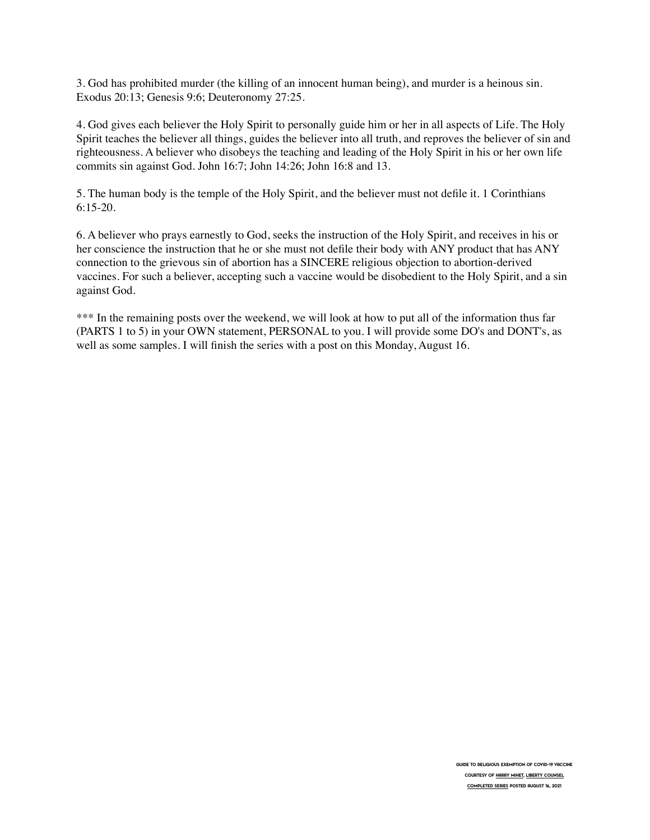3. God has prohibited murder (the killing of an innocent human being), and murder is a heinous sin. Exodus 20:13; Genesis 9:6; Deuteronomy 27:25.

4. God gives each believer the Holy Spirit to personally guide him or her in all aspects of Life. The Holy Spirit teaches the believer all things, guides the believer into all truth, and reproves the believer of sin and righteousness. A believer who disobeys the teaching and leading of the Holy Spirit in his or her own life commits sin against God. John 16:7; John 14:26; John 16:8 and 13.

5. The human body is the temple of the Holy Spirit, and the believer must not defile it. 1 Corinthians 6:15-20.

6. A believer who prays earnestly to God, seeks the instruction of the Holy Spirit, and receives in his or her conscience the instruction that he or she must not defile their body with ANY product that has ANY connection to the grievous sin of abortion has a SINCERE religious objection to abortion-derived vaccines. For such a believer, accepting such a vaccine would be disobedient to the Holy Spirit, and a sin against God.

\*\*\* In the remaining posts over the weekend, we will look at how to put all of the information thus far (PARTS 1 to 5) in your OWN statement, PERSONAL to you. I will provide some DO's and DONT's, as well as some samples. I will finish the series with a post on this Monday, August 16.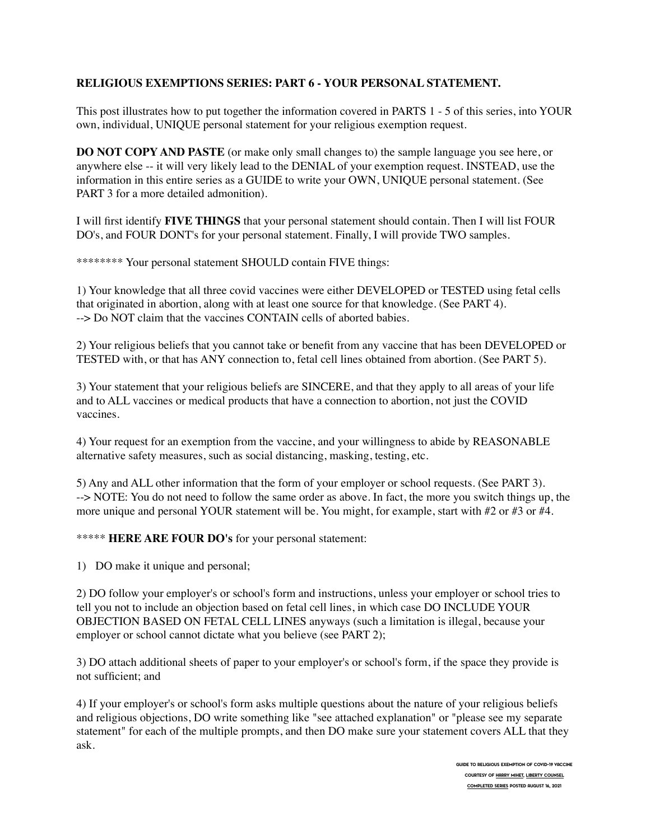# **RELIGIOUS EXEMPTIONS SERIES: PART 6 - YOUR PERSONAL STATEMENT.**

This post illustrates how to put together the information covered in PARTS 1 - 5 of this series, into YOUR own, individual, UNIQUE personal statement for your religious exemption request.

**DO NOT COPY AND PASTE** (or make only small changes to) the sample language you see here, or anywhere else -- it will very likely lead to the DENIAL of your exemption request. INSTEAD, use the information in this entire series as a GUIDE to write your OWN, UNIQUE personal statement. (See PART 3 for a more detailed admonition).

I will first identify **FIVE THINGS** that your personal statement should contain. Then I will list FOUR DO's, and FOUR DONT's for your personal statement. Finally, I will provide TWO samples.

\*\*\*\*\*\*\*\* Your personal statement SHOULD contain FIVE things:

1) Your knowledge that all three covid vaccines were either DEVELOPED or TESTED using fetal cells that originated in abortion, along with at least one source for that knowledge. (See PART 4). --> Do NOT claim that the vaccines CONTAIN cells of aborted babies.

2) Your religious beliefs that you cannot take or benefit from any vaccine that has been DEVELOPED or TESTED with, or that has ANY connection to, fetal cell lines obtained from abortion. (See PART 5).

3) Your statement that your religious beliefs are SINCERE, and that they apply to all areas of your life and to ALL vaccines or medical products that have a connection to abortion, not just the COVID vaccines.

4) Your request for an exemption from the vaccine, and your willingness to abide by REASONABLE alternative safety measures, such as social distancing, masking, testing, etc.

5) Any and ALL other information that the form of your employer or school requests. (See PART 3). --> NOTE: You do not need to follow the same order as above. In fact, the more you switch things up, the more unique and personal YOUR statement will be. You might, for example, start with #2 or #3 or #4.

\*\*\*\*\* **HERE ARE FOUR DO's** for your personal statement:

1) DO make it unique and personal;

2) DO follow your employer's or school's form and instructions, unless your employer or school tries to tell you not to include an objection based on fetal cell lines, in which case DO INCLUDE YOUR OBJECTION BASED ON FETAL CELL LINES anyways (such a limitation is illegal, because your employer or school cannot dictate what you believe (see PART 2);

3) DO attach additional sheets of paper to your employer's or school's form, if the space they provide is not sufficient; and

4) If your employer's or school's form asks multiple questions about the nature of your religious beliefs and religious objections, DO write something like "see attached explanation" or "please see my separate statement" for each of the multiple prompts, and then DO make sure your statement covers ALL that they ask.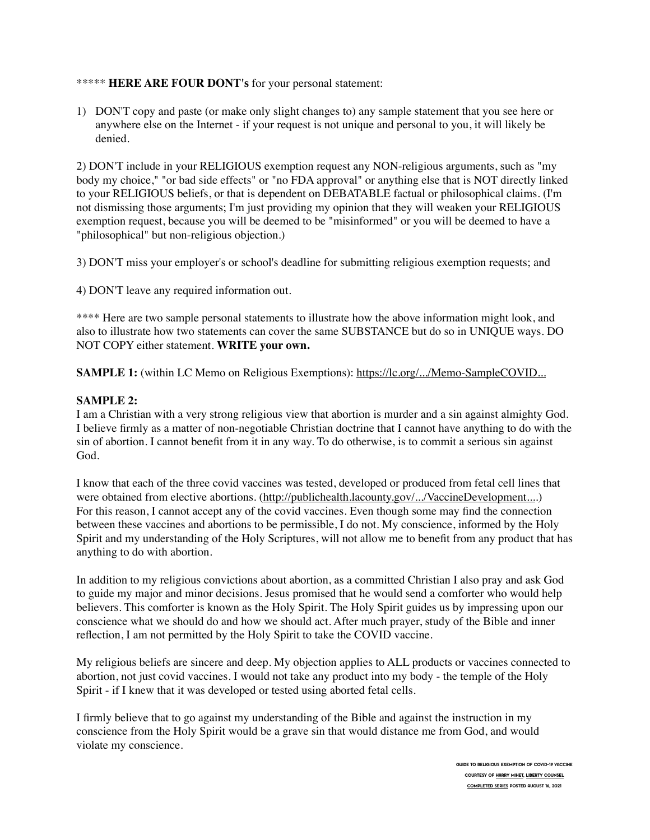#### \*\*\*\*\* **HERE ARE FOUR DONT's** for your personal statement:

1) DON'T copy and paste (or make only slight changes to) any sample statement that you see here or anywhere else on the Internet - if your request is not unique and personal to you, it will likely be denied.

2) DON'T include in your RELIGIOUS exemption request any NON-religious arguments, such as "my body my choice," "or bad side effects" or "no FDA approval" or anything else that is NOT directly linked to your RELIGIOUS beliefs, or that is dependent on DEBATABLE factual or philosophical claims. (I'm not dismissing those arguments; I'm just providing my opinion that they will weaken your RELIGIOUS exemption request, because you will be deemed to be "misinformed" or you will be deemed to have a "philosophical" but non-religious objection.)

3) DON'T miss your employer's or school's deadline for submitting religious exemption requests; and

4) DON'T leave any required information out.

\*\*\*\* Here are two sample personal statements to illustrate how the above information might look, and also to illustrate how two statements can cover the same SUBSTANCE but do so in UNIQUE ways. DO NOT COPY either statement. **WRITE your own.**

**SAMPLE 1:** (within LC Memo on Religious Exemptions): [https://lc.org/.../Memo-SampleCOVID...](https://l.facebook.com/l.php?u=https%3A%2F%2Flc.org%2FSite%2520Images%2FResources%2FMemo-SampleCOVID-ReligiousExemptionRequests-07262021.pdf%3Ffbclid%3DIwAR3dIl98Odfi9NhZZyZT2LPBguoRC2DeqxV_IKGBPVRIzqJ7bjh23DS1S0U&h=AT3BYXvNORznxaQ2fpl1GDt9mBoIh8RgErUVUYzildH2NRtTS_iXPx9wLfR7jE0hwIkZ2R5PnfbMS9sMi4yzwv8fJZnoKGF2FlHmUIgNGibu2Tn0JAnGyGt13WdBY2yi6C03MzAS6rFZ1wusqAvX1PE&__tn__=-UK-R&c%5B0%5D=AT0jspKDQjPpwQNZMJ0FgujrffcoQuI0JABO32jShXUEtstIQSCUBQpIUsm1EhTVp43vOQTkjkBsyukxxRyD0MqM7q_Ds6ihXJeqCCqKxwGGWIxPNK4IOqa7HsyaU682FghG3AF274BDUkj1iOTD1Wg-XqM)

## **SAMPLE 2:**

I am a Christian with a very strong religious view that abortion is murder and a sin against almighty God. I believe firmly as a matter of non-negotiable Christian doctrine that I cannot have anything to do with the sin of abortion. I cannot benefit from it in any way. To do otherwise, is to commit a serious sin against God.

I know that each of the three covid vaccines was tested, developed or produced from fetal cell lines that were obtained from elective abortions. ([http://publichealth.lacounty.gov/.../VaccineDevelopment...](https://l.facebook.com/l.php?u=http%3A%2F%2Fpublichealth.lacounty.gov%2Fmedia%2FCoronavirus%2Fdocs%2Fvaccine%2FVaccineDevelopment_FetalCellLines.pdf%3Ffbclid%3DIwAR0YJSpbJy5JW7yEBVHAGrlVEFy1N0toYh1_AvQWzeNe_lqHzqcfxor3WHU&h=AT1DRvc1rMSsvGt9AEzFxF3ROvvCfWKDg7OhfqbAgY-9kxGCQBkao9ibD-OuSDud0Xo-p79b4zcDpdnQhqJV6pVyGUoyg0KVOaMxwuIS9E3WJPxu8e8w6NhnzsRHV_ytDkNrd-EFXu9WKQoP6lKchas&__tn__=-UK-R&c%5B0%5D=AT0jspKDQjPpwQNZMJ0FgujrffcoQuI0JABO32jShXUEtstIQSCUBQpIUsm1EhTVp43vOQTkjkBsyukxxRyD0MqM7q_Ds6ihXJeqCCqKxwGGWIxPNK4IOqa7HsyaU682FghG3AF274BDUkj1iOTD1Wg-XqM).) For this reason, I cannot accept any of the covid vaccines. Even though some may find the connection between these vaccines and abortions to be permissible, I do not. My conscience, informed by the Holy Spirit and my understanding of the Holy Scriptures, will not allow me to benefit from any product that has anything to do with abortion.

In addition to my religious convictions about abortion, as a committed Christian I also pray and ask God to guide my major and minor decisions. Jesus promised that he would send a comforter who would help believers. This comforter is known as the Holy Spirit. The Holy Spirit guides us by impressing upon our conscience what we should do and how we should act. After much prayer, study of the Bible and inner reflection, I am not permitted by the Holy Spirit to take the COVID vaccine.

My religious beliefs are sincere and deep. My objection applies to ALL products or vaccines connected to abortion, not just covid vaccines. I would not take any product into my body - the temple of the Holy Spirit - if I knew that it was developed or tested using aborted fetal cells.

I firmly believe that to go against my understanding of the Bible and against the instruction in my conscience from the Holy Spirit would be a grave sin that would distance me from God, and would violate my conscience.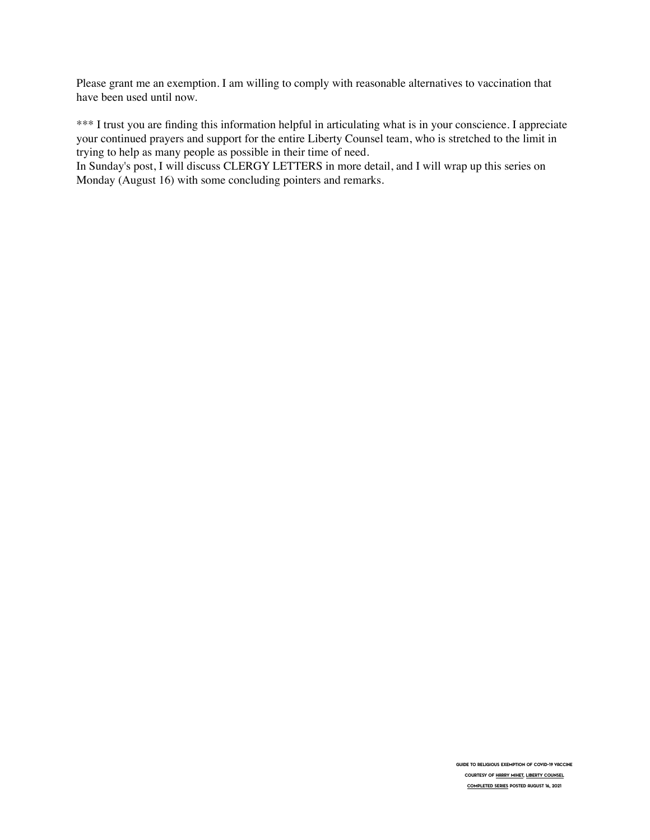Please grant me an exemption. I am willing to comply with reasonable alternatives to vaccination that have been used until now.

\*\*\* I trust you are finding this information helpful in articulating what is in your conscience. I appreciate your continued prayers and support for the entire Liberty Counsel team, who is stretched to the limit in trying to help as many people as possible in their time of need.

In Sunday's post, I will discuss CLERGY LETTERS in more detail, and I will wrap up this series on Monday (August 16) with some concluding pointers and remarks.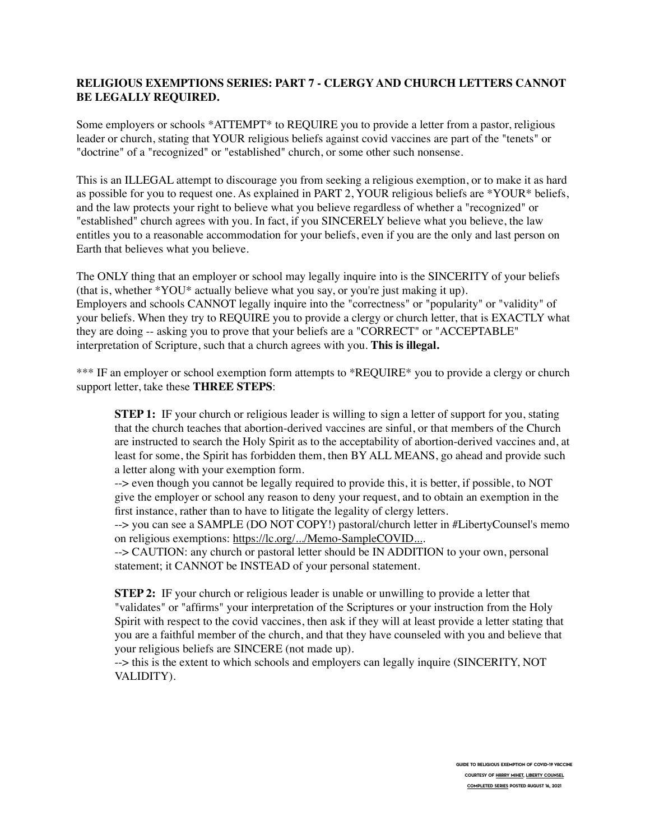## **RELIGIOUS EXEMPTIONS SERIES: PART 7 - CLERGY AND CHURCH LETTERS CANNOT BE LEGALLY REQUIRED.**

Some employers or schools \*ATTEMPT\* to REQUIRE you to provide a letter from a pastor, religious leader or church, stating that YOUR religious beliefs against covid vaccines are part of the "tenets" or "doctrine" of a "recognized" or "established" church, or some other such nonsense.

This is an ILLEGAL attempt to discourage you from seeking a religious exemption, or to make it as hard as possible for you to request one. As explained in PART 2, YOUR religious beliefs are \*YOUR\* beliefs, and the law protects your right to believe what you believe regardless of whether a "recognized" or "established" church agrees with you. In fact, if you SINCERELY believe what you believe, the law entitles you to a reasonable accommodation for your beliefs, even if you are the only and last person on Earth that believes what you believe.

The ONLY thing that an employer or school may legally inquire into is the SINCERITY of your beliefs (that is, whether \*YOU\* actually believe what you say, or you're just making it up). Employers and schools CANNOT legally inquire into the "correctness" or "popularity" or "validity" of your beliefs. When they try to REQUIRE you to provide a clergy or church letter, that is EXACTLY what they are doing -- asking you to prove that your beliefs are a "CORRECT" or "ACCEPTABLE" interpretation of Scripture, such that a church agrees with you. **This is illegal.**

\*\*\* IF an employer or school exemption form attempts to \*REQUIRE\* you to provide a clergy or church support letter, take these **THREE STEPS**:

**STEP 1:** IF your church or religious leader is willing to sign a letter of support for you, stating that the church teaches that abortion-derived vaccines are sinful, or that members of the Church are instructed to search the Holy Spirit as to the acceptability of abortion-derived vaccines and, at least for some, the Spirit has forbidden them, then BY ALL MEANS, go ahead and provide such a letter along with your exemption form.

--> even though you cannot be legally required to provide this, it is better, if possible, to NOT give the employer or school any reason to deny your request, and to obtain an exemption in the first instance, rather than to have to litigate the legality of clergy letters.

--> you can see a SAMPLE (DO NOT COPY!) pastoral/church letter in #LibertyCounsel's memo on religious exemptions: [https://lc.org/.../Memo-SampleCOVID...](https://l.facebook.com/l.php?u=https%3A%2F%2Flc.org%2FSite%2520Images%2FResources%2FMemo-SampleCOVID-ReligiousExemptionRequests-07262021.pdf%3Ffbclid%3DIwAR0i1ATyxf8_4LfKyW3d86bWBXemJ0tnwe_i2_dTFsafUY4NcftlVNkhdHQ&h=AT3pEiQLHNjsyLg3BNLFcQ50O-hiYNkBW6bM202velEvmGpPHQqSC5aZDQirAqQxJuQOgugou9NRL705KT4wGvCZsE2r-C2NYbhwGNOoqMBr4v6UTXqzSlnCWdYrJjbm_05js22D8gg7ej-vNn2jO4U&__tn__=-UK-R&c%5B0%5D=AT0wfdnm2nO3fttwyVELeL5a1qo6PyxKK3iOXDDM7vaWEmZLJKkMozwAkZttNUyq5or3YrawIOu0qtUin2GXtYF0DCqac6-SOlCnZ_hSkbp3NG8SlR98RAsxImHyhw943FpGDaNxpVl_rM5Y2hHbjCPcbAk).

-- > CAUTION: any church or pastoral letter should be IN ADDITION to your own, personal statement; it CANNOT be INSTEAD of your personal statement.

**STEP 2:** IF your church or religious leader is unable or unwilling to provide a letter that "validates" or "affirms" your interpretation of the Scriptures or your instruction from the Holy Spirit with respect to the covid vaccines, then ask if they will at least provide a letter stating that you are a faithful member of the church, and that they have counseled with you and believe that your religious beliefs are SINCERE (not made up).

--> this is the extent to which schools and employers can legally inquire (SINCERITY, NOT VALIDITY).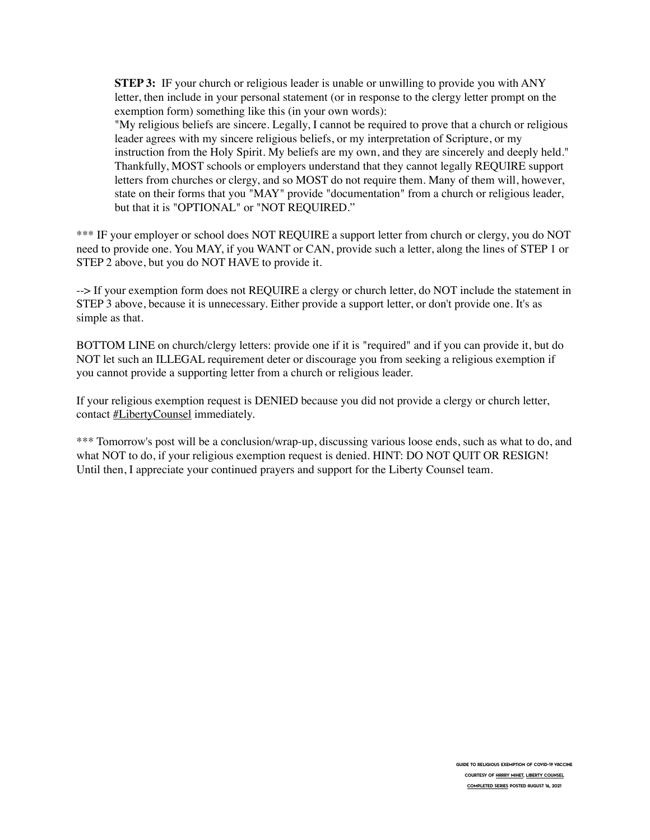**STEP 3:** IF your church or religious leader is unable or unwilling to provide you with ANY letter, then include in your personal statement (or in response to the clergy letter prompt on the exemption form) something like this (in your own words):

"My religious beliefs are sincere. Legally, I cannot be required to prove that a church or religious leader agrees with my sincere religious beliefs, or my interpretation of Scripture, or my instruction from the Holy Spirit. My beliefs are my own, and they are sincerely and deeply held." Thankfully, MOST schools or employers understand that they cannot legally REQUIRE support letters from churches or clergy, and so MOST do not require them. Many of them will, however, state on their forms that you "MAY" provide "documentation" from a church or religious leader, but that it is "OPTIONAL" or "NOT REQUIRED."

\*\*\* IF your employer or school does NOT REQUIRE a support letter from church or clergy, you do NOT need to provide one. You MAY, if you WANT or CAN, provide such a letter, along the lines of STEP 1 or STEP 2 above, but you do NOT HAVE to provide it.

--> If your exemption form does not REQUIRE a clergy or church letter, do NOT include the statement in STEP 3 above, because it is unnecessary. Either provide a support letter, or don't provide one. It's as simple as that.

BOTTOM LINE on church/clergy letters: provide one if it is "required" and if you can provide it, but do NOT let such an ILLEGAL requirement deter or discourage you from seeking a religious exemption if you cannot provide a supporting letter from a church or religious leader.

If your religious exemption request is DENIED because you did not provide a clergy or church letter, contact **#LibertyCounsel** immediately.

\*\*\* Tomorrow's post will be a conclusion/wrap-up, discussing various loose ends, such as what to do, and what NOT to do, if your religious exemption request is denied. HINT: DO NOT QUIT OR RESIGN! Until then, I appreciate your continued prayers and support for the Liberty Counsel team.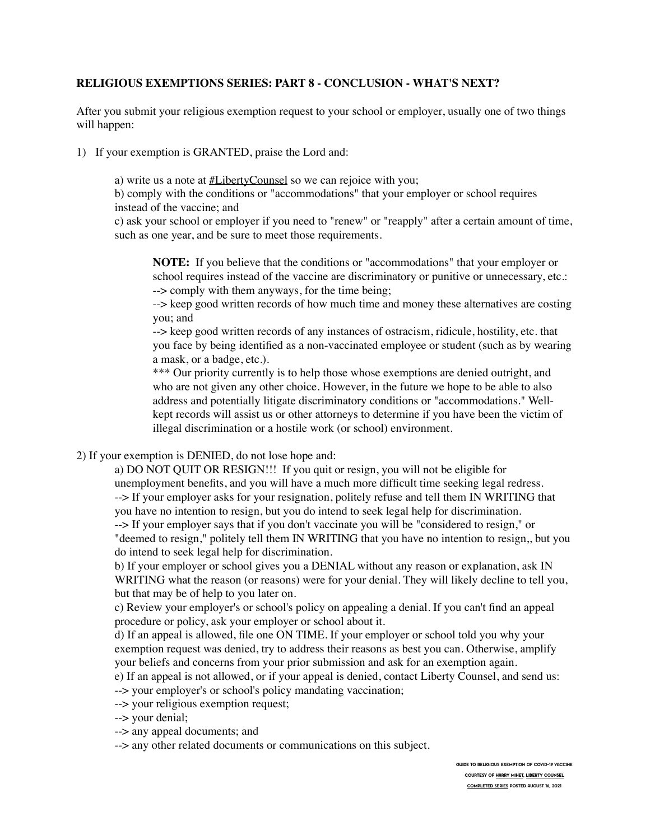## **RELIGIOUS EXEMPTIONS SERIES: PART 8 - CONCLUSION - WHAT'S NEXT?**

After you submit your religious exemption request to your school or employer, usually one of two things will happen:

1) If your exemption is GRANTED, praise the Lord and:

a) write us a note at  $#LibertyCountel$  so we can rejoice with you;

b) comply with the conditions or "accommodations" that your employer or school requires instead of the vaccine; and

c) ask your school or employer if you need to "renew" or "reapply" after a certain amount of time, such as one year, and be sure to meet those requirements.

**NOTE:** If you believe that the conditions or "accommodations" that your employer or school requires instead of the vaccine are discriminatory or punitive or unnecessary, etc.: --> comply with them anyways, for the time being;

--> keep good written records of how much time and money these alternatives are costing you; and

--> keep good written records of any instances of ostracism, ridicule, hostility, etc. that you face by being identified as a non-vaccinated employee or student (such as by wearing a mask, or a badge, etc.).

\*\*\* Our priority currently is to help those whose exemptions are denied outright, and who are not given any other choice. However, in the future we hope to be able to also address and potentially litigate discriminatory conditions or "accommodations." Wellkept records will assist us or other attorneys to determine if you have been the victim of illegal discrimination or a hostile work (or school) environment.

# 2) If your exemption is DENIED, do not lose hope and:

a) DO NOT QUIT OR RESIGN!!! If you quit or resign, you will not be eligible for unemployment benefits, and you will have a much more difficult time seeking legal redress. --> If your employer asks for your resignation, politely refuse and tell them IN WRITING that you have no intention to resign, but you do intend to seek legal help for discrimination.

--> If your employer says that if you don't vaccinate you will be "considered to resign," or "deemed to resign," politely tell them IN WRITING that you have no intention to resign,, but you do intend to seek legal help for discrimination.

b) If your employer or school gives you a DENIAL without any reason or explanation, ask IN WRITING what the reason (or reasons) were for your denial. They will likely decline to tell you, but that may be of help to you later on.

c) Review your employer's or school's policy on appealing a denial. If you can't find an appeal procedure or policy, ask your employer or school about it.

d) If an appeal is allowed, file one ON TIME. If your employer or school told you why your exemption request was denied, try to address their reasons as best you can. Otherwise, amplify your beliefs and concerns from your prior submission and ask for an exemption again.

e) If an appeal is not allowed, or if your appeal is denied, contact Liberty Counsel, and send us: --> your employer's or school's policy mandating vaccination;

--> your religious exemption request;

--> your denial;

--> any appeal documents; and

--> any other related documents or communications on this subject.